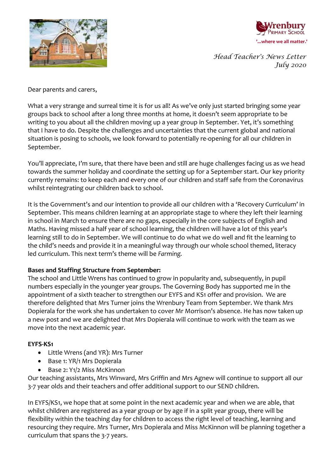



*Head Teacher's News Letter July 2020*

Dear parents and carers,

What a very strange and surreal time it is for us all! As we've only just started bringing some year groups back to school after a long three months at home, it doesn't seem appropriate to be writing to you about all the children moving up a year group in September. Yet, it's something that I have to do. Despite the challenges and uncertainties that the current global and national situation is posing to schools, we look forward to potentially re-opening for all our children in September.

You'll appreciate, I'm sure, that there have been and still are huge challenges facing us as we head towards the summer holiday and coordinate the setting up for a September start. Our key priority currently remains: to keep each and every one of our children and staff safe from the Coronavirus whilst reintegrating our children back to school.

It is the Government's and our intention to provide all our children with a 'Recovery Curriculum' in September. This means children learning at an appropriate stage to where they left their learning in school in March to ensure there are no gaps, especially in the core subjects of English and Maths. Having missed a half year of school learning, the children will have a lot of this year's learning still to do in September. We will continue to do what we do well and fit the learning to the child's needs and provide it in a meaningful way through our whole school themed, literacy led curriculum. This next term's theme will be *Farming.*

### **Bases and Staffing Structure from September:**

The school and Little Wrens has continued to grow in popularity and, subsequently, in pupil numbers especially in the younger year groups. The Governing Body has supported me in the appointment of a sixth teacher to strengthen our EYFS and KS1 offer and provision. We are therefore delighted that Mrs Turner joins the Wrenbury Team from September. We thank Mrs Dopierala for the work she has undertaken to cover Mr Morrison's absence. He has now taken up a new post and we are delighted that Mrs Dopierala will continue to work with the team as we move into the next academic year.

#### **EYFS-KS1**

- Little Wrens (and YR): Mrs Turner
- Base 1: YR/1 Mrs Dopierala
- Base 2: Y1/2 Miss McKinnon

Our teaching assistants, Mrs Winward, Mrs Griffin and Mrs Agnew will continue to support all our 3-7 year olds and their teachers and offer additional support to our SEND children.

In EYFS/KS1, we hope that at some point in the next academic year and when we are able, that whilst children are registered as a year group or by age if in a split year group, there will be flexibility within the teaching day for children to access the right level of teaching, learning and resourcing they require. Mrs Turner, Mrs Dopierala and Miss McKinnon will be planning together a curriculum that spans the 3-7 years.